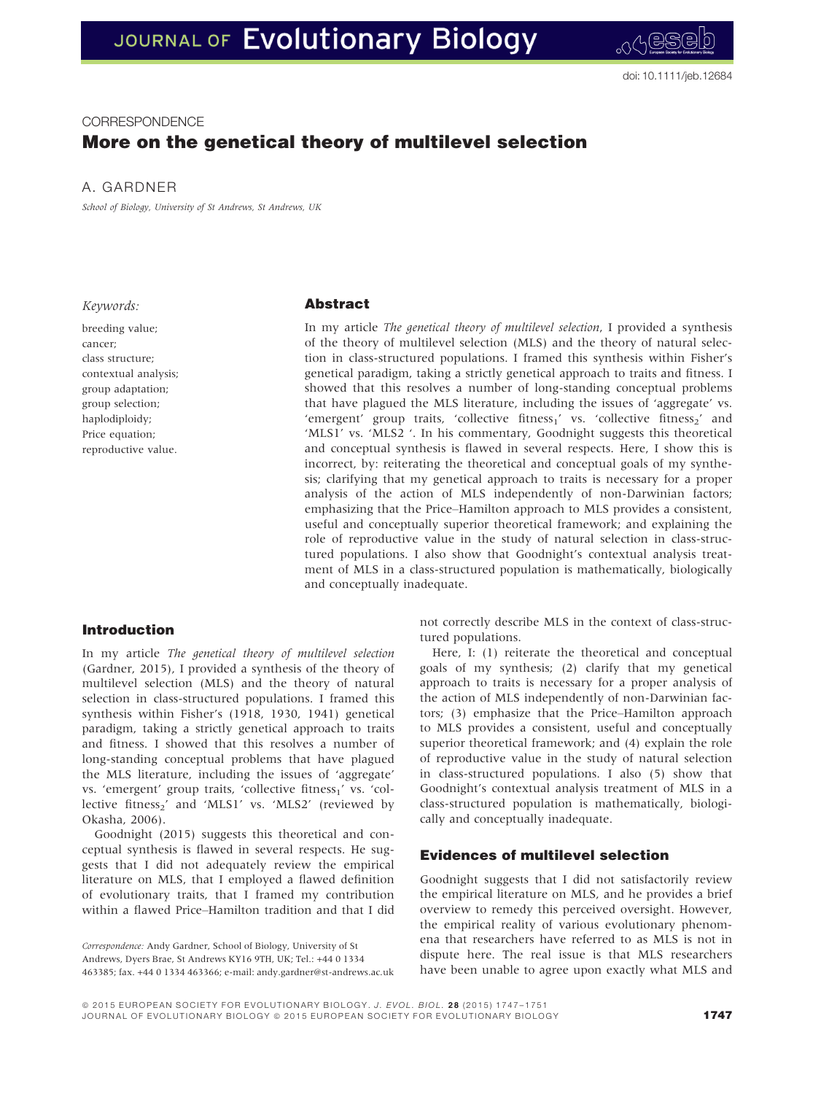#### CORRESPONDENCE

# More on the genetical theory of multilevel selection

A. GARDNER

School of Biology, University of St Andrews, St Andrews, UK

#### Keywords:

breeding value; cancer; class structure; contextual analysis; group adaptation; group selection; haplodiploidy; Price equation; reproductive value.

# Abstract

In my article The genetical theory of multilevel selection, I provided a synthesis of the theory of multilevel selection (MLS) and the theory of natural selection in class-structured populations. I framed this synthesis within Fisher's genetical paradigm, taking a strictly genetical approach to traits and fitness. I showed that this resolves a number of long-standing conceptual problems that have plagued the MLS literature, including the issues of 'aggregate' vs. 'emergent' group traits, 'collective fitness<sub>1</sub>' vs. 'collective fitness<sub>2</sub>' and 'MLS1' vs. 'MLS2 '. In his commentary, Goodnight suggests this theoretical and conceptual synthesis is flawed in several respects. Here, I show this is incorrect, by: reiterating the theoretical and conceptual goals of my synthesis; clarifying that my genetical approach to traits is necessary for a proper analysis of the action of MLS independently of non-Darwinian factors; emphasizing that the Price–Hamilton approach to MLS provides a consistent, useful and conceptually superior theoretical framework; and explaining the role of reproductive value in the study of natural selection in class-structured populations. I also show that Goodnight's contextual analysis treatment of MLS in a class-structured population is mathematically, biologically and conceptually inadequate.

### Introduction

In my article The genetical theory of multilevel selection (Gardner, 2015), I provided a synthesis of the theory of multilevel selection (MLS) and the theory of natural selection in class-structured populations. I framed this synthesis within Fisher's (1918, 1930, 1941) genetical paradigm, taking a strictly genetical approach to traits and fitness. I showed that this resolves a number of long-standing conceptual problems that have plagued the MLS literature, including the issues of 'aggregate' vs. 'emergent' group traits, 'collective fitness<sub>1</sub>' vs. 'collective fitness<sub>2</sub>' and 'MLS1' vs. 'MLS2' (reviewed by Okasha, 2006).

Goodnight (2015) suggests this theoretical and conceptual synthesis is flawed in several respects. He suggests that I did not adequately review the empirical literature on MLS, that I employed a flawed definition of evolutionary traits, that I framed my contribution within a flawed Price–Hamilton tradition and that I did not correctly describe MLS in the context of class-structured populations.

Here, I: (1) reiterate the theoretical and conceptual goals of my synthesis; (2) clarify that my genetical approach to traits is necessary for a proper analysis of the action of MLS independently of non-Darwinian factors; (3) emphasize that the Price–Hamilton approach to MLS provides a consistent, useful and conceptually superior theoretical framework; and (4) explain the role of reproductive value in the study of natural selection in class-structured populations. I also (5) show that Goodnight's contextual analysis treatment of MLS in a class-structured population is mathematically, biologically and conceptually inadequate.

# Evidences of multilevel selection

Goodnight suggests that I did not satisfactorily review the empirical literature on MLS, and he provides a brief overview to remedy this perceived oversight. However, the empirical reality of various evolutionary phenomena that researchers have referred to as MLS is not in dispute here. The real issue is that MLS researchers have been unable to agree upon exactly what MLS and

Correspondence: Andy Gardner, School of Biology, University of St Andrews, Dyers Brae, St Andrews KY16 9TH, UK; Tel.: +44 0 1334 463385; fax. +44 0 1334 463366; e-mail: andy.gardner@st-andrews.ac.uk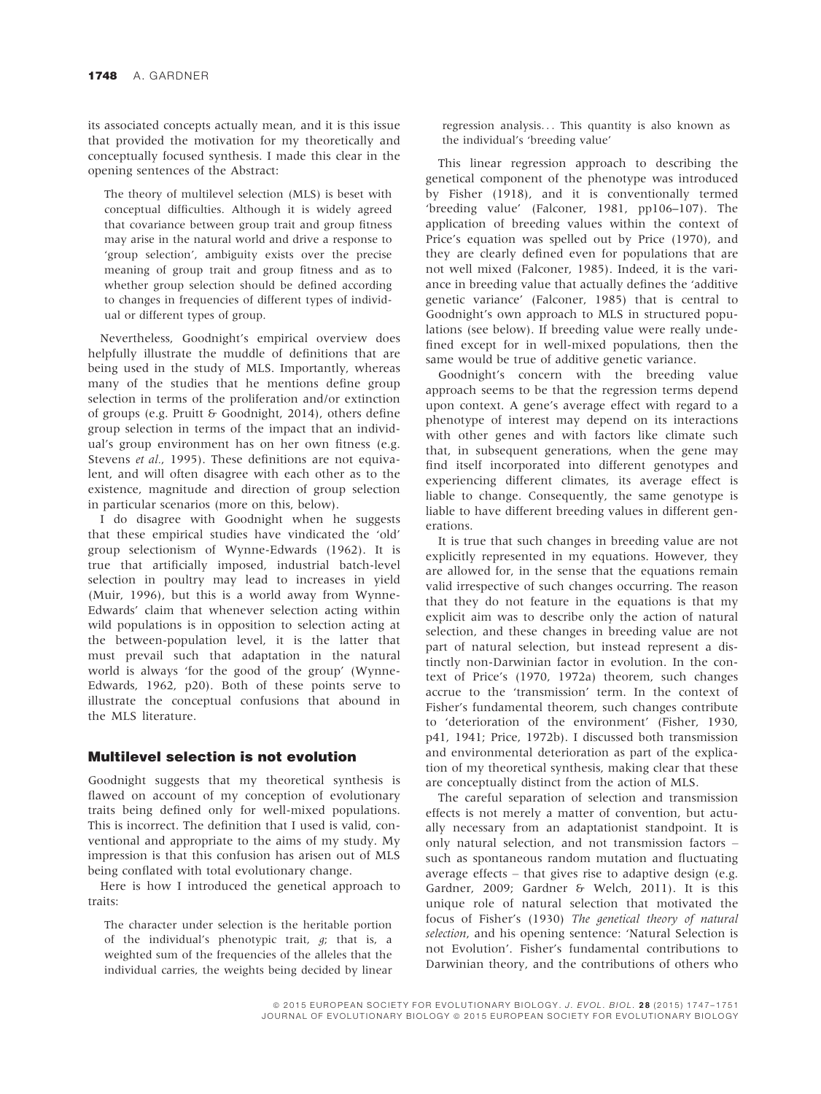its associated concepts actually mean, and it is this issue that provided the motivation for my theoretically and conceptually focused synthesis. I made this clear in the opening sentences of the Abstract:

The theory of multilevel selection (MLS) is beset with conceptual difficulties. Although it is widely agreed that covariance between group trait and group fitness may arise in the natural world and drive a response to 'group selection', ambiguity exists over the precise meaning of group trait and group fitness and as to whether group selection should be defined according to changes in frequencies of different types of individual or different types of group.

Nevertheless, Goodnight's empirical overview does helpfully illustrate the muddle of definitions that are being used in the study of MLS. Importantly, whereas many of the studies that he mentions define group selection in terms of the proliferation and/or extinction of groups (e.g. Pruitt  $\delta$  Goodnight, 2014), others define group selection in terms of the impact that an individual's group environment has on her own fitness (e.g. Stevens et al., 1995). These definitions are not equivalent, and will often disagree with each other as to the existence, magnitude and direction of group selection in particular scenarios (more on this, below).

I do disagree with Goodnight when he suggests that these empirical studies have vindicated the 'old' group selectionism of Wynne-Edwards (1962). It is true that artificially imposed, industrial batch-level selection in poultry may lead to increases in yield (Muir, 1996), but this is a world away from Wynne-Edwards' claim that whenever selection acting within wild populations is in opposition to selection acting at the between-population level, it is the latter that must prevail such that adaptation in the natural world is always 'for the good of the group' (Wynne-Edwards, 1962, p20). Both of these points serve to illustrate the conceptual confusions that abound in the MLS literature.

### Multilevel selection is not evolution

Goodnight suggests that my theoretical synthesis is flawed on account of my conception of evolutionary traits being defined only for well-mixed populations. This is incorrect. The definition that I used is valid, conventional and appropriate to the aims of my study. My impression is that this confusion has arisen out of MLS being conflated with total evolutionary change.

Here is how I introduced the genetical approach to traits:

The character under selection is the heritable portion of the individual's phenotypic trait, g; that is, a weighted sum of the frequencies of the alleles that the individual carries, the weights being decided by linear regression analysis... This quantity is also known as the individual's 'breeding value'

This linear regression approach to describing the genetical component of the phenotype was introduced by Fisher (1918), and it is conventionally termed 'breeding value' (Falconer, 1981, pp106–107). The application of breeding values within the context of Price's equation was spelled out by Price (1970), and they are clearly defined even for populations that are not well mixed (Falconer, 1985). Indeed, it is the variance in breeding value that actually defines the 'additive genetic variance' (Falconer, 1985) that is central to Goodnight's own approach to MLS in structured populations (see below). If breeding value were really undefined except for in well-mixed populations, then the same would be true of additive genetic variance.

Goodnight's concern with the breeding value approach seems to be that the regression terms depend upon context. A gene's average effect with regard to a phenotype of interest may depend on its interactions with other genes and with factors like climate such that, in subsequent generations, when the gene may find itself incorporated into different genotypes and experiencing different climates, its average effect is liable to change. Consequently, the same genotype is liable to have different breeding values in different generations.

It is true that such changes in breeding value are not explicitly represented in my equations. However, they are allowed for, in the sense that the equations remain valid irrespective of such changes occurring. The reason that they do not feature in the equations is that my explicit aim was to describe only the action of natural selection, and these changes in breeding value are not part of natural selection, but instead represent a distinctly non-Darwinian factor in evolution. In the context of Price's (1970, 1972a) theorem, such changes accrue to the 'transmission' term. In the context of Fisher's fundamental theorem, such changes contribute to 'deterioration of the environment' (Fisher, 1930, p41, 1941; Price, 1972b). I discussed both transmission and environmental deterioration as part of the explication of my theoretical synthesis, making clear that these are conceptually distinct from the action of MLS.

The careful separation of selection and transmission effects is not merely a matter of convention, but actually necessary from an adaptationist standpoint. It is only natural selection, and not transmission factors – such as spontaneous random mutation and fluctuating average effects – that gives rise to adaptive design (e.g. Gardner, 2009; Gardner & Welch, 2011). It is this unique role of natural selection that motivated the focus of Fisher's (1930) The genetical theory of natural selection, and his opening sentence: 'Natural Selection is not Evolution'. Fisher's fundamental contributions to Darwinian theory, and the contributions of others who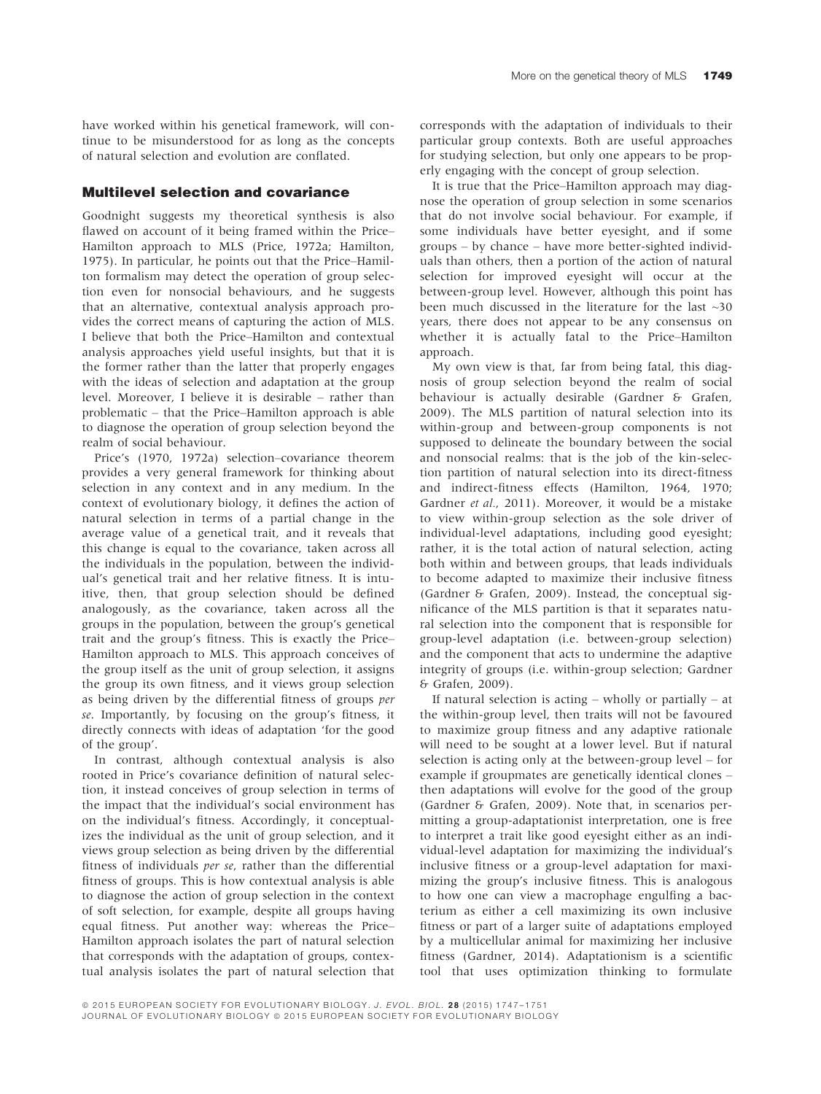have worked within his genetical framework, will continue to be misunderstood for as long as the concepts of natural selection and evolution are conflated.

# Multilevel selection and covariance

Goodnight suggests my theoretical synthesis is also flawed on account of it being framed within the Price– Hamilton approach to MLS (Price, 1972a; Hamilton, 1975). In particular, he points out that the Price–Hamilton formalism may detect the operation of group selection even for nonsocial behaviours, and he suggests that an alternative, contextual analysis approach provides the correct means of capturing the action of MLS. I believe that both the Price–Hamilton and contextual analysis approaches yield useful insights, but that it is the former rather than the latter that properly engages with the ideas of selection and adaptation at the group level. Moreover, I believe it is desirable – rather than problematic – that the Price–Hamilton approach is able to diagnose the operation of group selection beyond the realm of social behaviour.

Price's (1970, 1972a) selection–covariance theorem provides a very general framework for thinking about selection in any context and in any medium. In the context of evolutionary biology, it defines the action of natural selection in terms of a partial change in the average value of a genetical trait, and it reveals that this change is equal to the covariance, taken across all the individuals in the population, between the individual's genetical trait and her relative fitness. It is intuitive, then, that group selection should be defined analogously, as the covariance, taken across all the groups in the population, between the group's genetical trait and the group's fitness. This is exactly the Price– Hamilton approach to MLS. This approach conceives of the group itself as the unit of group selection, it assigns the group its own fitness, and it views group selection as being driven by the differential fitness of groups per se. Importantly, by focusing on the group's fitness, it directly connects with ideas of adaptation 'for the good of the group'.

In contrast, although contextual analysis is also rooted in Price's covariance definition of natural selection, it instead conceives of group selection in terms of the impact that the individual's social environment has on the individual's fitness. Accordingly, it conceptualizes the individual as the unit of group selection, and it views group selection as being driven by the differential fitness of individuals per se, rather than the differential fitness of groups. This is how contextual analysis is able to diagnose the action of group selection in the context of soft selection, for example, despite all groups having equal fitness. Put another way: whereas the Price– Hamilton approach isolates the part of natural selection that corresponds with the adaptation of groups, contextual analysis isolates the part of natural selection that

corresponds with the adaptation of individuals to their particular group contexts. Both are useful approaches for studying selection, but only one appears to be properly engaging with the concept of group selection.

It is true that the Price–Hamilton approach may diagnose the operation of group selection in some scenarios that do not involve social behaviour. For example, if some individuals have better eyesight, and if some groups – by chance – have more better-sighted individuals than others, then a portion of the action of natural selection for improved eyesight will occur at the between-group level. However, although this point has been much discussed in the literature for the last  $\sim$ 30 years, there does not appear to be any consensus on whether it is actually fatal to the Price–Hamilton approach.

My own view is that, far from being fatal, this diagnosis of group selection beyond the realm of social behaviour is actually desirable (Gardner & Grafen, 2009). The MLS partition of natural selection into its within-group and between-group components is not supposed to delineate the boundary between the social and nonsocial realms: that is the job of the kin-selection partition of natural selection into its direct-fitness and indirect-fitness effects (Hamilton, 1964, 1970; Gardner et al., 2011). Moreover, it would be a mistake to view within-group selection as the sole driver of individual-level adaptations, including good eyesight; rather, it is the total action of natural selection, acting both within and between groups, that leads individuals to become adapted to maximize their inclusive fitness (Gardner & Grafen, 2009). Instead, the conceptual significance of the MLS partition is that it separates natural selection into the component that is responsible for group-level adaptation (i.e. between-group selection) and the component that acts to undermine the adaptive integrity of groups (i.e. within-group selection; Gardner & Grafen, 2009).

If natural selection is acting  $-$  wholly or partially  $-$  at the within-group level, then traits will not be favoured to maximize group fitness and any adaptive rationale will need to be sought at a lower level. But if natural selection is acting only at the between-group level – for example if groupmates are genetically identical clones – then adaptations will evolve for the good of the group (Gardner & Grafen, 2009). Note that, in scenarios permitting a group-adaptationist interpretation, one is free to interpret a trait like good eyesight either as an individual-level adaptation for maximizing the individual's inclusive fitness or a group-level adaptation for maximizing the group's inclusive fitness. This is analogous to how one can view a macrophage engulfing a bacterium as either a cell maximizing its own inclusive fitness or part of a larger suite of adaptations employed by a multicellular animal for maximizing her inclusive fitness (Gardner, 2014). Adaptationism is a scientific tool that uses optimization thinking to formulate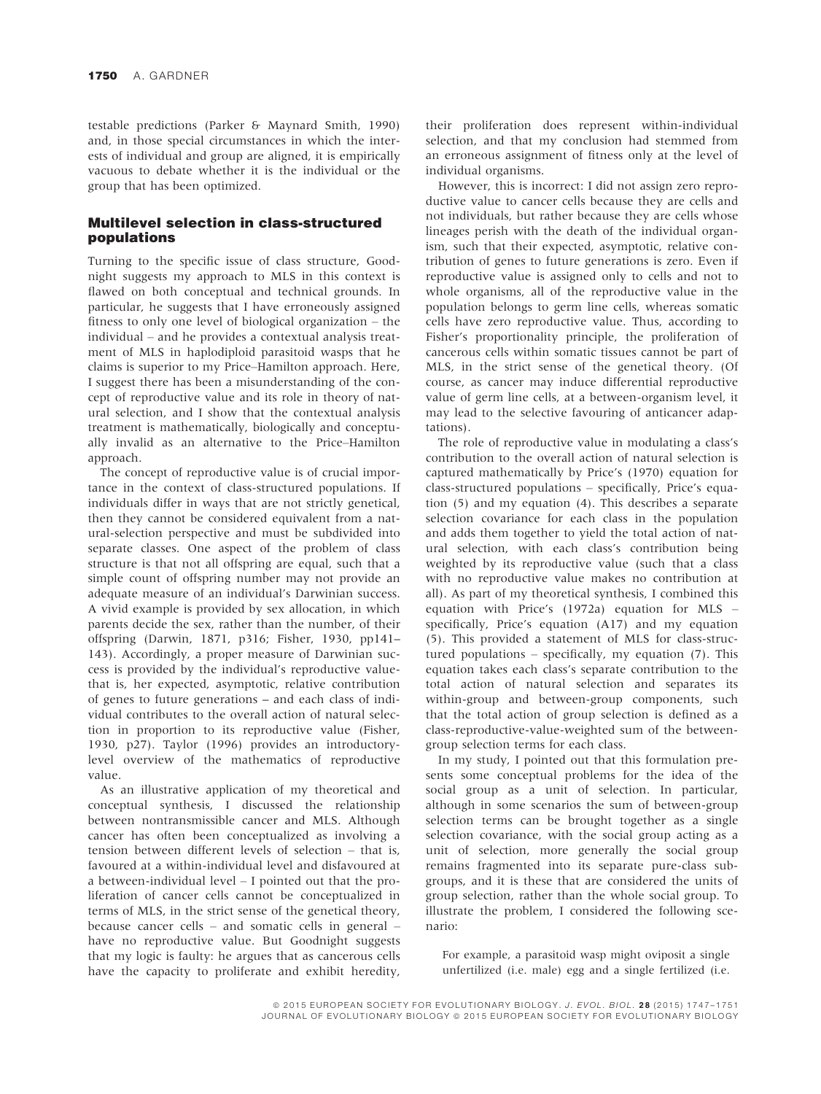testable predictions (Parker & Maynard Smith, 1990) and, in those special circumstances in which the interests of individual and group are aligned, it is empirically vacuous to debate whether it is the individual or the group that has been optimized.

### Multilevel selection in class-structured populations

Turning to the specific issue of class structure, Goodnight suggests my approach to MLS in this context is flawed on both conceptual and technical grounds. In particular, he suggests that I have erroneously assigned fitness to only one level of biological organization – the individual – and he provides a contextual analysis treatment of MLS in haplodiploid parasitoid wasps that he claims is superior to my Price–Hamilton approach. Here, I suggest there has been a misunderstanding of the concept of reproductive value and its role in theory of natural selection, and I show that the contextual analysis treatment is mathematically, biologically and conceptually invalid as an alternative to the Price–Hamilton approach.

The concept of reproductive value is of crucial importance in the context of class-structured populations. If individuals differ in ways that are not strictly genetical, then they cannot be considered equivalent from a natural-selection perspective and must be subdivided into separate classes. One aspect of the problem of class structure is that not all offspring are equal, such that a simple count of offspring number may not provide an adequate measure of an individual's Darwinian success. A vivid example is provided by sex allocation, in which parents decide the sex, rather than the number, of their offspring (Darwin, 1871, p316; Fisher, 1930, pp141– 143). Accordingly, a proper measure of Darwinian success is provided by the individual's reproductive valuethat is, her expected, asymptotic, relative contribution of genes to future generations – and each class of individual contributes to the overall action of natural selection in proportion to its reproductive value (Fisher, 1930, p27). Taylor (1996) provides an introductorylevel overview of the mathematics of reproductive value.

As an illustrative application of my theoretical and conceptual synthesis, I discussed the relationship between nontransmissible cancer and MLS. Although cancer has often been conceptualized as involving a tension between different levels of selection – that is, favoured at a within-individual level and disfavoured at a between-individual level – I pointed out that the proliferation of cancer cells cannot be conceptualized in terms of MLS, in the strict sense of the genetical theory, because cancer cells – and somatic cells in general – have no reproductive value. But Goodnight suggests that my logic is faulty: he argues that as cancerous cells have the capacity to proliferate and exhibit heredity,

their proliferation does represent within-individual selection, and that my conclusion had stemmed from an erroneous assignment of fitness only at the level of individual organisms.

However, this is incorrect: I did not assign zero reproductive value to cancer cells because they are cells and not individuals, but rather because they are cells whose lineages perish with the death of the individual organism, such that their expected, asymptotic, relative contribution of genes to future generations is zero. Even if reproductive value is assigned only to cells and not to whole organisms, all of the reproductive value in the population belongs to germ line cells, whereas somatic cells have zero reproductive value. Thus, according to Fisher's proportionality principle, the proliferation of cancerous cells within somatic tissues cannot be part of MLS, in the strict sense of the genetical theory. (Of course, as cancer may induce differential reproductive value of germ line cells, at a between-organism level, it may lead to the selective favouring of anticancer adaptations).

The role of reproductive value in modulating a class's contribution to the overall action of natural selection is captured mathematically by Price's (1970) equation for class-structured populations – specifically, Price's equation (5) and my equation (4). This describes a separate selection covariance for each class in the population and adds them together to yield the total action of natural selection, with each class's contribution being weighted by its reproductive value (such that a class with no reproductive value makes no contribution at all). As part of my theoretical synthesis, I combined this equation with Price's (1972a) equation for MLS – specifically, Price's equation (A17) and my equation (5). This provided a statement of MLS for class-structured populations – specifically, my equation  $(7)$ . This equation takes each class's separate contribution to the total action of natural selection and separates its within-group and between-group components, such that the total action of group selection is defined as a class-reproductive-value-weighted sum of the betweengroup selection terms for each class.

In my study, I pointed out that this formulation presents some conceptual problems for the idea of the social group as a unit of selection. In particular, although in some scenarios the sum of between-group selection terms can be brought together as a single selection covariance, with the social group acting as a unit of selection, more generally the social group remains fragmented into its separate pure-class subgroups, and it is these that are considered the units of group selection, rather than the whole social group. To illustrate the problem, I considered the following scenario:

For example, a parasitoid wasp might oviposit a single unfertilized (i.e. male) egg and a single fertilized (i.e.